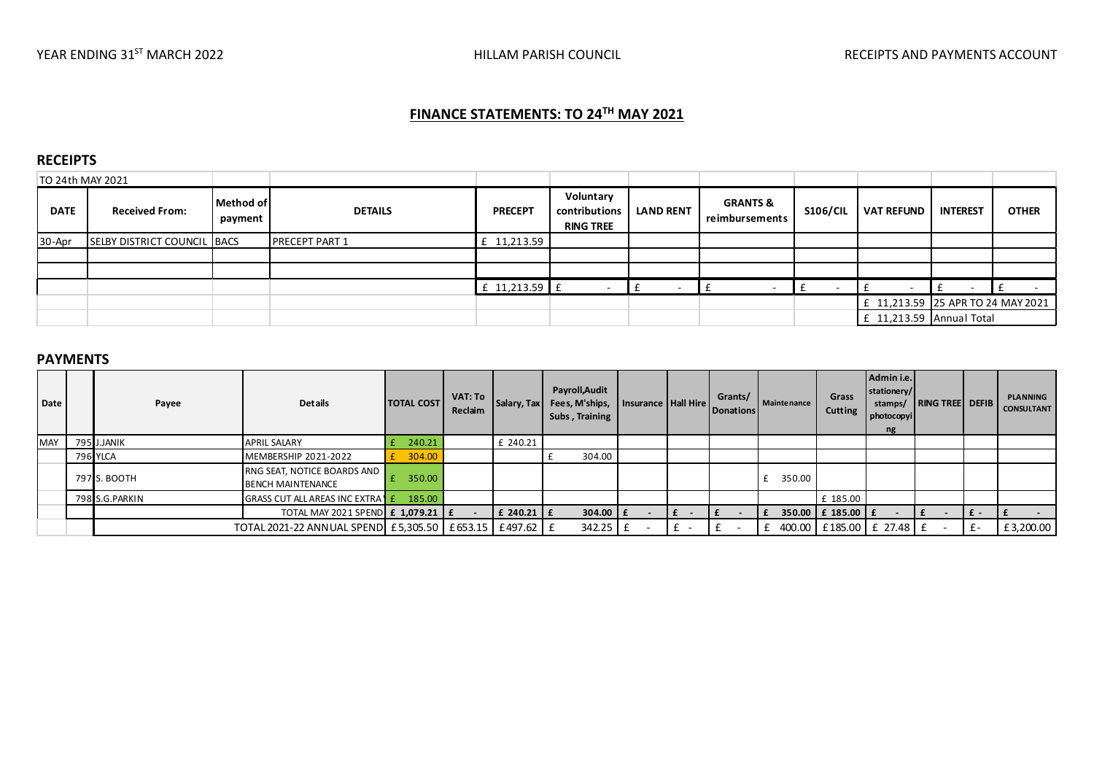# FINANCE STATEMENTS: TO 24<sup>TH</sup> MAY 2021

#### RECEIPTS

| TO 24th MAY 2021 |                                    |                      |                       |                |                                                |                  |                                       |                 |                                   |                 |              |
|------------------|------------------------------------|----------------------|-----------------------|----------------|------------------------------------------------|------------------|---------------------------------------|-----------------|-----------------------------------|-----------------|--------------|
| <b>DATE</b>      | <b>Received From:</b>              | Method of<br>payment | <b>DETAILS</b>        | <b>PRECEPT</b> | Voluntary<br>contributions<br><b>RING TREE</b> | <b>LAND RENT</b> | <b>GRANTS &amp;</b><br>reimbursements | <b>S106/CIL</b> | <b>VAT REFUND</b>                 | <b>INTEREST</b> | <b>OTHER</b> |
| 30-Apr           | <b>SELBY DISTRICT COUNCIL BACS</b> |                      | <b>PRECEPT PART 1</b> | £ 11,213.59    |                                                |                  |                                       |                 |                                   |                 |              |
|                  |                                    |                      |                       |                |                                                |                  |                                       |                 |                                   |                 |              |
|                  |                                    |                      |                       |                |                                                |                  |                                       |                 |                                   |                 |              |
|                  |                                    |                      |                       | £ 11,213.59 £  |                                                |                  |                                       |                 |                                   |                 |              |
|                  |                                    |                      |                       |                |                                                |                  |                                       |                 | £ 11,213.59 25 APR TO 24 MAY 2021 |                 |              |
|                  |                                    |                      |                       |                |                                                |                  |                                       |                 | $£$ 11,213.59 Annual Total        |                 |              |

#### PAYMENTS

| Date       |                                                        | Payee           | <b>Details</b>                                          | <b>TOTAL COST</b> | VAT: To<br>Reclaim | Salary, Tax | Payroll, Audit<br>Fees, M'ships,<br>Subs, Training | Insurance   Hall Hire |     | Grants/<br><b>Donations</b> | <b>Maintenance</b>             | Grass<br>Cutting      | Admin i.e.<br>stationery/<br>stamps/<br>photocopyi<br>ng | <b>RING TREE DEFIB</b> |           | <b>PLANNING</b><br><b>CONSULTANT</b> |
|------------|--------------------------------------------------------|-----------------|---------------------------------------------------------|-------------------|--------------------|-------------|----------------------------------------------------|-----------------------|-----|-----------------------------|--------------------------------|-----------------------|----------------------------------------------------------|------------------------|-----------|--------------------------------------|
| <b>MAY</b> |                                                        | 795 J.JANIK     | <b>APRIL SALARY</b>                                     | 240.21            |                    | £ 240.21    |                                                    |                       |     |                             |                                |                       |                                                          |                        |           |                                      |
|            |                                                        | <b>796 YLCA</b> | MEMBERSHIP 2021-2022                                    | 304.00            |                    |             | 304.00                                             |                       |     |                             |                                |                       |                                                          |                        |           |                                      |
|            |                                                        | 797 S. BOOTH    | RNG SEAT, NOTICE BOARDS AND<br><b>BENCH MAINTENANCE</b> | 350.00            |                    |             |                                                    |                       |     |                             | 350.00                         |                       |                                                          |                        |           |                                      |
|            |                                                        | 798 S.G.PARKIN  | GRASS CUT ALL AREAS INC EXTRATE                         | 185.00            |                    |             |                                                    |                       |     |                             |                                | £ 185.00              |                                                          |                        |           |                                      |
|            |                                                        |                 | TOTAL MAY 2021 SPEND £ 1,079.21   £                     |                   |                    | £ 240.21 £  | $304.00$ $E$                                       |                       | l £ |                             |                                | 350.00   £ 185.00   £ |                                                          |                        | I£-       |                                      |
|            | TOTAL 2021-22 ANNUAL SPEND £5,305.50 £653.15 £497.62 £ |                 |                                                         |                   |                    | 342.25      |                                                    |                       |     |                             | 400.00   £185.00   £ 27.48   £ |                       |                                                          | $f -$                  | £3,200.00 |                                      |